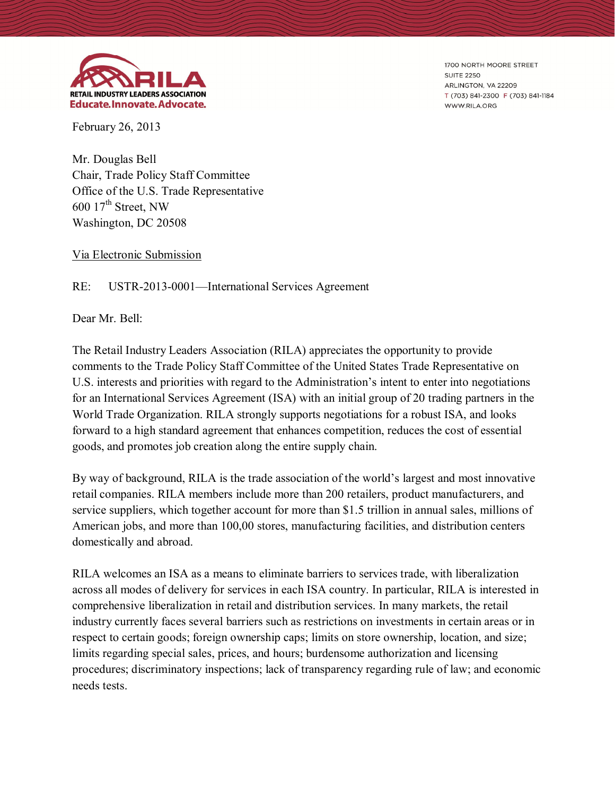

1700 NORTH MOORE STREET **SUITE 2250** ARLINGTON, VA 22209 T (703) 841-2300 F (703) 841-1184 WWW.RILA.ORG

February 26, 2013

Mr. Douglas Bell Chair, Trade Policy Staff Committee Office of the U.S. Trade Representative  $600$   $17<sup>th</sup>$  Street, NW Washington, DC 20508

Via Electronic Submission

## RE: USTR-2013-0001—International Services Agreement

Dear Mr. Bell:

The Retail Industry Leaders Association (RILA) appreciates the opportunity to provide comments to the Trade Policy Staff Committee of the United States Trade Representative on U.S. interests and priorities with regard to the Administration's intent to enter into negotiations for an International Services Agreement (ISA) with an initial group of 20 trading partners in the World Trade Organization. RILA strongly supports negotiations for a robust ISA, and looks forward to a high standard agreement that enhances competition, reduces the cost of essential goods, and promotes job creation along the entire supply chain.

By way of background, RILA is the trade association of the world's largest and most innovative retail companies. RILA members include more than 200 retailers, product manufacturers, and service suppliers, which together account for more than \$1.5 trillion in annual sales, millions of American jobs, and more than 100,00 stores, manufacturing facilities, and distribution centers domestically and abroad.

RILA welcomes an ISA as a means to eliminate barriers to services trade, with liberalization across all modes of delivery for services in each ISA country. In particular, RILA is interested in comprehensive liberalization in retail and distribution services. In many markets, the retail industry currently faces several barriers such as restrictions on investments in certain areas or in respect to certain goods; foreign ownership caps; limits on store ownership, location, and size; limits regarding special sales, prices, and hours; burdensome authorization and licensing procedures; discriminatory inspections; lack of transparency regarding rule of law; and economic needs tests.